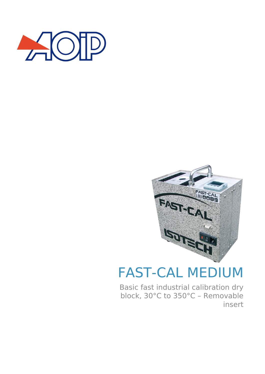



# FAST-CAL MEDIUM

Basic fast industrial calibration dry block, 30°C to 350°C – Removable insert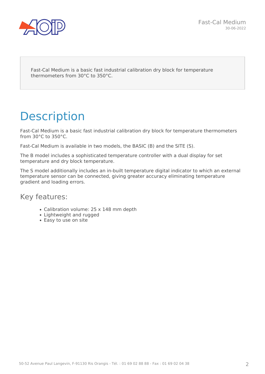

Fast-Cal Medium is a basic fast industrial calibration dry block for temperature thermometers from 30°C to 350°C.

## **Description**

Fast-Cal Medium is a basic fast industrial calibration dry block for temperature thermometers from 30°C to 350°C.

Fast-Cal Medium is available in two models, the BASIC (B) and the SITE (S).

The B model includes a sophisticated temperature controller with a dual display for set temperature and dry block temperature.

The S model additionally includes an in-built temperature digital indicator to which an external temperature sensor can be connected, giving greater accuracy eliminating temperature gradient and loading errors.

### Key features:

- Calibration volume: 25 x 148 mm depth
- Lightweight and rugged
- Easy to use on site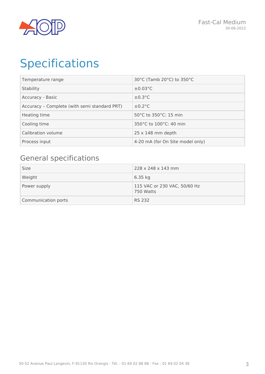

## Specifications

| Temperature range                            | 30°C (Tamb 20°C) to 350°C        |
|----------------------------------------------|----------------------------------|
| Stability                                    | $\pm 0.03$ °C                    |
| Accuracy - Basic                             | $\pm 0.3$ °C                     |
| Accuracy - Complete (with semi standard PRT) | $\pm 0.2$ °C                     |
| Heating time                                 | 50°C to 350°C: 15 min            |
| Cooling time                                 | 350°C to 100°C: 40 min           |
| Calibration volume                           | $25 \times 148$ mm depth         |
| Process input                                | 4-20 mA (for On Site model only) |

## General specifications

| Size                | 228 x 248 x 143 mm                        |
|---------------------|-------------------------------------------|
| Weight              | $6.35$ kg                                 |
| Power supply        | 115 VAC or 230 VAC, 50/60 Hz<br>750 Watts |
| Communication ports | RS 232                                    |